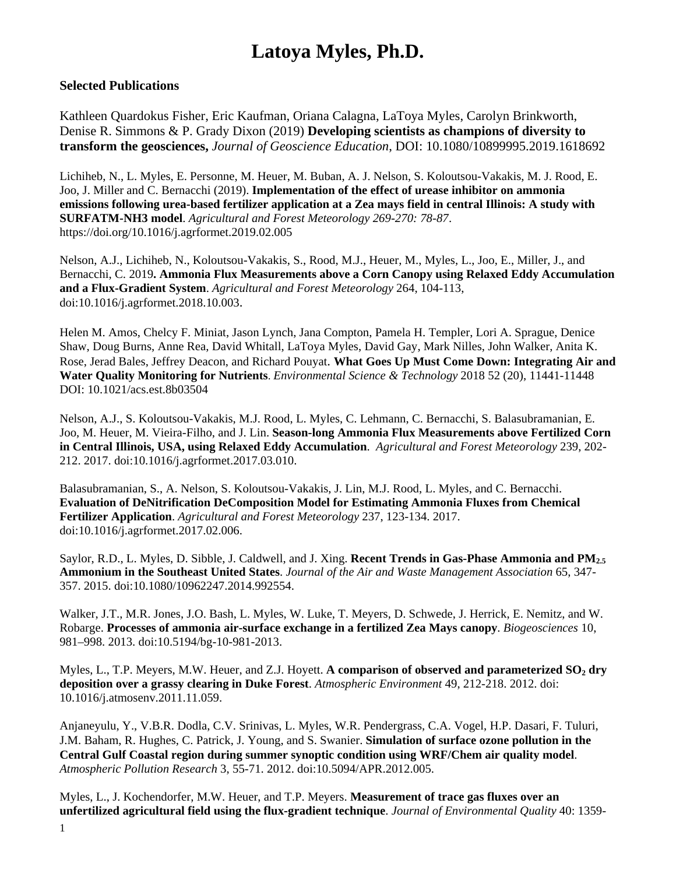## **Latoya Myles, Ph.D.**

## **Selected Publications**

Kathleen Quardokus Fisher, Eric Kaufman, Oriana Calagna, LaToya Myles, Carolyn Brinkworth, Denise R. Simmons & P. Grady Dixon (2019) **Developing scientists as champions of diversity to transform the geosciences,** *Journal of Geoscience Education*, DOI: 10.1080/10899995.2019.1618692

Lichiheb, N., L. Myles, E. Personne, M. Heuer, M. Buban, A. J. Nelson, S. Koloutsou-Vakakis, M. J. Rood, E. Joo, J. Miller and C. Bernacchi (2019). **Implementation of the effect of urease inhibitor on ammonia emissions following urea-based fertilizer application at a Zea mays field in central Illinois: A study with SURFATM-NH3 model**. *Agricultural and Forest Meteorology 269-270: 78-87*. https://doi.org/10.1016/j.agrformet.2019.02.005

Nelson, A.J., Lichiheb, N., Koloutsou-Vakakis, S., Rood, M.J., Heuer, M., Myles, L., Joo, E., Miller, J., and Bernacchi, C. 2019**. Ammonia Flux Measurements above a Corn Canopy using Relaxed Eddy Accumulation and a Flux-Gradient System**. *Agricultural and Forest Meteorology* 264, 104-113, doi:10.1016/j.agrformet.2018.10.003.

Helen M. Amos, Chelcy F. Miniat, Jason Lynch, Jana Compton, Pamela H. Templer, Lori A. Sprague, Denice Shaw, Doug Burns, Anne Rea, David Whitall, LaToya Myles, David Gay, Mark Nilles, John Walker, Anita K. Rose, Jerad Bales, Jeffrey Deacon, and Richard Pouyat. **What Goes Up Must Come Down: Integrating Air and Water Quality Monitoring for Nutrients**. *Environmental Science & Technology* 2018 52 (20), 11441-11448 DOI: 10.1021/acs.est.8b03504

Nelson, A.J., S. Koloutsou-Vakakis, M.J. Rood, L. Myles, C. Lehmann, C. Bernacchi, S. Balasubramanian, E. Joo, M. Heuer, M. Vieira-Filho, and J. Lin. **Season-long Ammonia Flux Measurements above Fertilized Corn in Central Illinois, USA, using Relaxed Eddy Accumulation**. *Agricultural and Forest Meteorology* 239, 202- 212. 2017. doi:10.1016/j.agrformet.2017.03.010.

Balasubramanian, S., A. Nelson, S. Koloutsou-Vakakis, J. Lin, M.J. Rood, L. Myles, and C. Bernacchi. **Evaluation of DeNitrification DeComposition Model for Estimating Ammonia Fluxes from Chemical Fertilizer Application**. *Agricultural and Forest Meteorology* 237, 123-134. 2017. doi:10.1016/j.agrformet.2017.02.006.

Saylor, R.D., L. Myles, D. Sibble, J. Caldwell, and J. Xing. **Recent Trends in Gas-Phase Ammonia and PM2.5 Ammonium in the Southeast United States**. *Journal of the Air and Waste Management Association* 65, 347- 357. 2015. doi:10.1080/10962247.2014.992554.

Walker, J.T., M.R. Jones, J.O. Bash, L. Myles, W. Luke, T. Meyers, D. Schwede, J. Herrick, E. Nemitz, and W. Robarge. **Processes of ammonia air-surface exchange in a fertilized Zea Mays canopy**. *Biogeosciences* 10, 981–998. 2013. doi:10.5194/bg-10-981-2013.

Myles, L., T.P. Meyers, M.W. Heuer, and Z.J. Hoyett. **A comparison of observed and parameterized SO<sub>2</sub> dry deposition over a grassy clearing in Duke Forest**. *Atmospheric Environment* 49, 212-218. 2012. doi: 10.1016/j.atmosenv.2011.11.059.

Anjaneyulu, Y., V.B.R. Dodla, C.V. Srinivas, L. Myles, W.R. Pendergrass, C.A. Vogel, H.P. Dasari, F. Tuluri, J.M. Baham, R. Hughes, C. Patrick, J. Young, and S. Swanier. **Simulation of surface ozone pollution in the Central Gulf Coastal region during summer synoptic condition using WRF/Chem air quality model**. *Atmospheric Pollution Research* 3, 55-71. 2012. doi:10.5094/APR.2012.005.

Myles, L., J. Kochendorfer, M.W. Heuer, and T.P. Meyers. **Measurement of trace gas fluxes over an unfertilized agricultural field using the flux-gradient technique**. *Journal of Environmental Quality* 40: 1359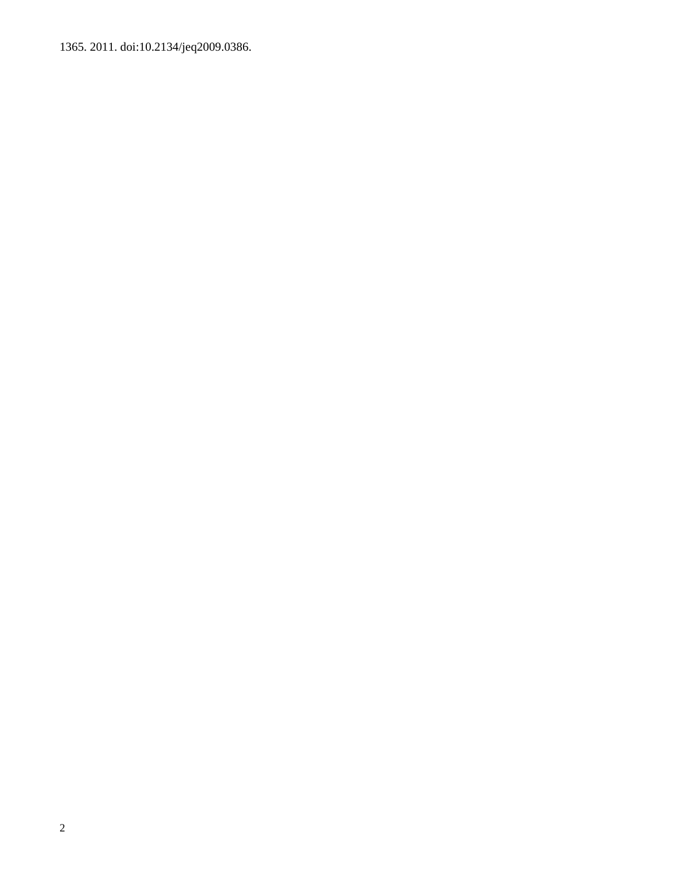1365. 2011. doi:10.2134/jeq2009.0386.